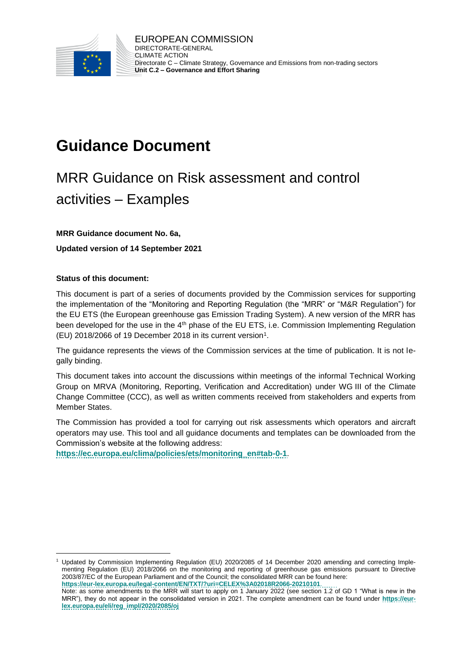

# **Guidance Document**

# MRR Guidance on Risk assessment and control activities – Examples

#### **MRR Guidance document No. 6a,**

**Updated version of 14 September 2021**

#### **Status of this document:**

l

This document is part of a series of documents provided by the Commission services for supporting the implementation of the "Monitoring and Reporting Regulation (the "MRR" or "M&R Regulation") for the EU ETS (the European greenhouse gas Emission Trading System). A new version of the MRR has been developed for the use in the 4<sup>th</sup> phase of the EU ETS, i.e. Commission Implementing Regulation (EU) 2018/2066 of 19 December 2018 in its current version<sup>1</sup>.

The guidance represents the views of the Commission services at the time of publication. It is not legally binding.

This document takes into account the discussions within meetings of the informal Technical Working Group on MRVA (Monitoring, Reporting, Verification and Accreditation) under WG III of the Climate Change Committee (CCC), as well as written comments received from stakeholders and experts from Member States.

The Commission has provided a tool for carrying out risk assessments which operators and aircraft operators may use. This tool and all guidance documents and templates can be downloaded from the Commission's website at the following address:

**[https://ec.europa.eu/clima/policies/ets/monitoring\\_en#tab-0-1](https://ec.europa.eu/clima/policies/ets/monitoring_en#tab-0-1)**.

<sup>1</sup> Updated by Commission Implementing Regulation (EU) 2020/2085 of 14 December 2020 amending and correcting Implementing Regulation (EU) 2018/2066 on the monitoring and reporting of greenhouse gas emissions pursuant to Directive 2003/87/EC of the European Parliament and of the Council; the consolidated MRR can be found here:

**<https://eur-lex.europa.eu/legal-content/EN/TXT/?uri=CELEX%3A02018R2066-20210101>**.

Note: as some amendments to the MRR will start to apply on 1 January 2022 (see section 1.2 of GD 1 "What is new in the MRR"), they do not appear in the consolidated version in 2021. The complete amendment can be found under **[https://eur](https://eur-lex.europa.eu/eli/reg_impl/2020/2085/oj)[lex.europa.eu/eli/reg\\_impl/2020/2085/oj](https://eur-lex.europa.eu/eli/reg_impl/2020/2085/oj)**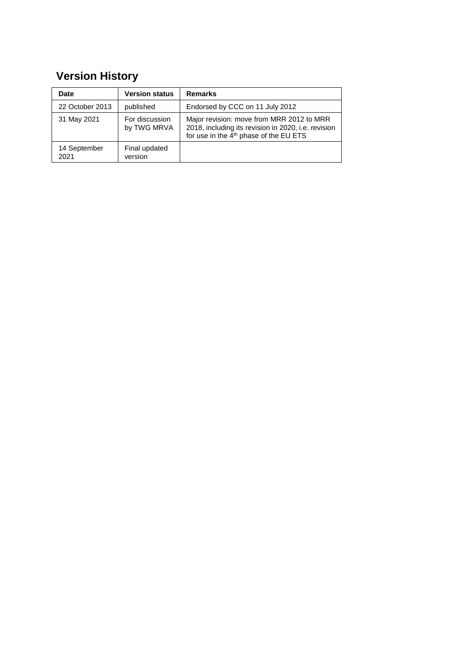## **Version History**

| <b>Date</b>          | <b>Version status</b>         | <b>Remarks</b>                                                                                                                                         |
|----------------------|-------------------------------|--------------------------------------------------------------------------------------------------------------------------------------------------------|
| 22 October 2013      | published                     | Endorsed by CCC on 11 July 2012                                                                                                                        |
| 31 May 2021          | For discussion<br>by TWG MRVA | Major revision: move from MRR 2012 to MRR<br>2018, including its revision in 2020, i.e. revision<br>for use in the 4 <sup>th</sup> phase of the EU ETS |
| 14 September<br>2021 | Final updated<br>version      |                                                                                                                                                        |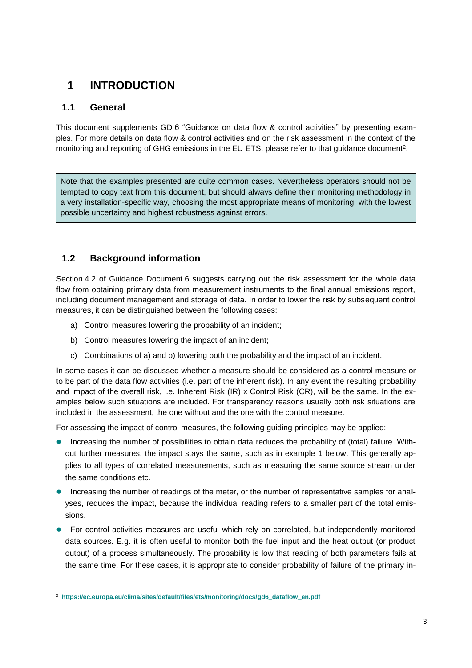## **1 INTRODUCTION**

## **1.1 General**

l

This document supplements GD 6 "Guidance on data flow & control activities" by presenting examples. For more details on data flow & control activities and on the risk assessment in the context of the monitoring and reporting of GHG emissions in the EU ETS, please refer to that guidance document $^{\text{2}}$ .

Note that the examples presented are quite common cases. Nevertheless operators should not be tempted to copy text from this document, but should always define their monitoring methodology in a very installation-specific way, choosing the most appropriate means of monitoring, with the lowest possible uncertainty and highest robustness against errors.

## **1.2 Background information**

Section 4.2 of Guidance Document 6 suggests carrying out the risk assessment for the whole data flow from obtaining primary data from measurement instruments to the final annual emissions report, including document management and storage of data. In order to lower the risk by subsequent control measures, it can be distinguished between the following cases:

- a) Control measures lowering the probability of an incident;
- b) Control measures lowering the impact of an incident;
- c) Combinations of a) and b) lowering both the probability and the impact of an incident.

In some cases it can be discussed whether a measure should be considered as a control measure or to be part of the data flow activities (i.e. part of the inherent risk). In any event the resulting probability and impact of the overall risk, i.e. Inherent Risk (IR) x Control Risk (CR), will be the same. In the examples below such situations are included. For transparency reasons usually both risk situations are included in the assessment, the one without and the one with the control measure.

For assessing the impact of control measures, the following guiding principles may be applied:

- Increasing the number of possibilities to obtain data reduces the probability of (total) failure. Without further measures, the impact stays the same, such as in example 1 below. This generally applies to all types of correlated measurements, such as measuring the same source stream under the same conditions etc.
- **Increasing the number of readings of the meter, or the number of representative samples for anal**yses, reduces the impact, because the individual reading refers to a smaller part of the total emissions.
- For control activities measures are useful which rely on correlated, but independently monitored data sources. E.g. it is often useful to monitor both the fuel input and the heat output (or product output) of a process simultaneously. The probability is low that reading of both parameters fails at the same time. For these cases, it is appropriate to consider probability of failure of the primary in-

<sup>2</sup> **[https://ec.europa.eu/clima/sites/default/files/ets/monitoring/docs/gd6\\_dataflow\\_en.pdf](https://ec.europa.eu/clima/sites/default/files/ets/monitoring/docs/gd6_dataflow_en.pdf)**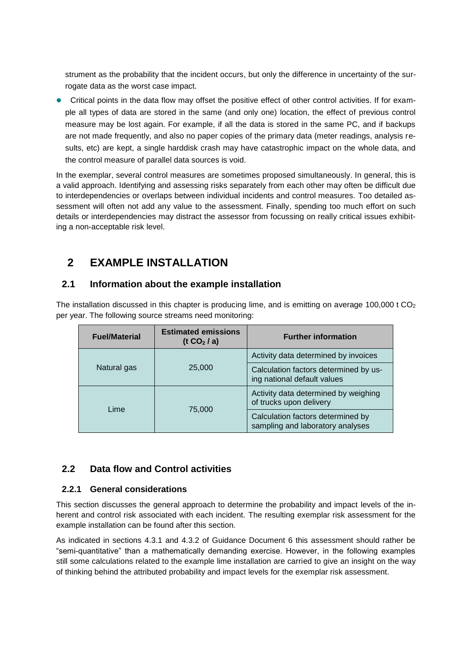strument as the probability that the incident occurs, but only the difference in uncertainty of the surrogate data as the worst case impact.

 Critical points in the data flow may offset the positive effect of other control activities. If for example all types of data are stored in the same (and only one) location, the effect of previous control measure may be lost again. For example, if all the data is stored in the same PC, and if backups are not made frequently, and also no paper copies of the primary data (meter readings, analysis results, etc) are kept, a single harddisk crash may have catastrophic impact on the whole data, and the control measure of parallel data sources is void.

In the exemplar, several control measures are sometimes proposed simultaneously. In general, this is a valid approach. Identifying and assessing risks separately from each other may often be difficult due to interdependencies or overlaps between individual incidents and control measures. Too detailed assessment will often not add any value to the assessment. Finally, spending too much effort on such details or interdependencies may distract the assessor from focussing on really critical issues exhibiting a non-acceptable risk level.

## **2 EXAMPLE INSTALLATION**

### **2.1 Information about the example installation**

The installation discussed in this chapter is producing lime, and is emitting on average 100,000 t  $CO<sub>2</sub>$ per year. The following source streams need monitoring:

| <b>Fuel/Material</b> | <b>Estimated emissions</b><br>(t $CO2/a$ ) | <b>Further information</b>                                            |  |  |  |  |  |
|----------------------|--------------------------------------------|-----------------------------------------------------------------------|--|--|--|--|--|
|                      |                                            | Activity data determined by invoices                                  |  |  |  |  |  |
| Natural gas          | 25,000                                     | Calculation factors determined by us-<br>ing national default values  |  |  |  |  |  |
| Lime                 |                                            | Activity data determined by weighing<br>of trucks upon delivery       |  |  |  |  |  |
|                      | 75,000                                     | Calculation factors determined by<br>sampling and laboratory analyses |  |  |  |  |  |

## **2.2 Data flow and Control activities**

#### **2.2.1 General considerations**

This section discusses the general approach to determine the probability and impact levels of the inherent and control risk associated with each incident. The resulting exemplar risk assessment for the example installation can be found after this section.

As indicated in sections 4.3.1 and 4.3.2 of Guidance Document 6 this assessment should rather be "semi-quantitative" than a mathematically demanding exercise. However, in the following examples still some calculations related to the example lime installation are carried to give an insight on the way of thinking behind the attributed probability and impact levels for the exemplar risk assessment.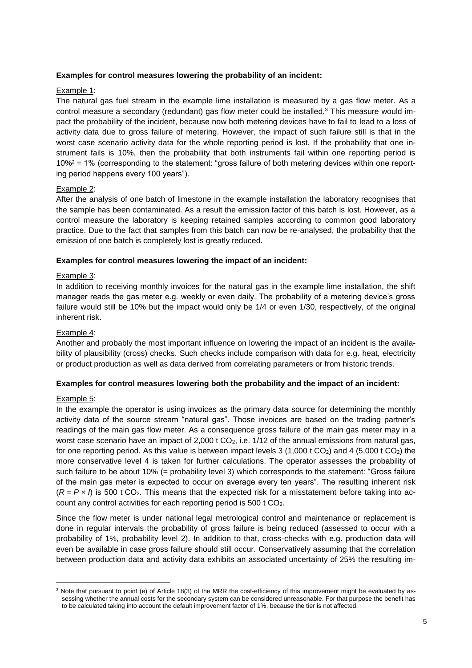#### **Examples for control measures lowering the probability of an incident:**

#### Example 1:

The natural gas fuel stream in the example lime installation is measured by a gas flow meter. As a control measure a secondary (redundant) gas flow meter could be installed.<sup>3</sup> This measure would impact the probability of the incident, because now both metering devices have to fail to lead to a loss of activity data due to gross failure of metering. However, the impact of such failure still is that in the worst case scenario activity data for the whole reporting period is lost. If the probability that one instrument fails is 10%, then the probability that both instruments fail within one reporting period is 10%² = 1% (corresponding to the statement: "gross failure of both metering devices within one reporting period happens every 100 years").

#### Example 2:

After the analysis of one batch of limestone in the example installation the laboratory recognises that the sample has been contaminated. As a result the emission factor of this batch is lost. However, as a control measure the laboratory is keeping retained samples according to common good laboratory practice. Due to the fact that samples from this batch can now be re-analysed, the probability that the emission of one batch is completely lost is greatly reduced.

#### **Examples for control measures lowering the impact of an incident:**

#### Example 3:

In addition to receiving monthly invoices for the natural gas in the example lime installation, the shift manager reads the gas meter e.g. weekly or even daily. The probability of a metering device's gross failure would still be 10% but the impact would only be 1/4 or even 1/30, respectively, of the original inherent risk.

#### Example 4:

Another and probably the most important influence on lowering the impact of an incident is the availability of plausibility (cross) checks. Such checks include comparison with data for e.g. heat, electricity or product production as well as data derived from correlating parameters or from historic trends.

#### **Examples for control measures lowering both the probability and the impact of an incident:**

#### Example 5:

l

In the example the operator is using invoices as the primary data source for determining the monthly activity data of the source stream "natural gas". Those invoices are based on the trading partner's readings of the main gas flow meter. As a consequence gross failure of the main gas meter may in a worst case scenario have an impact of  $2,000$  t  $CO<sub>2</sub>$ , i.e. 1/12 of the annual emissions from natural gas, for one reporting period. As this value is between impact levels  $3$  (1,000 t CO<sub>2</sub>) and 4 (5,000 t CO<sub>2</sub>) the more conservative level 4 is taken for further calculations. The operator assesses the probability of such failure to be about 10% (= probability level 3) which corresponds to the statement: "Gross failure of the main gas meter is expected to occur on average every ten years". The resulting inherent risk  $(R = P \times I)$  is 500 t CO<sub>2</sub>. This means that the expected risk for a misstatement before taking into account any control activities for each reporting period is 500 t CO2.

Since the flow meter is under national legal metrological control and maintenance or replacement is done in regular intervals the probability of gross failure is being reduced (assessed to occur with a probability of 1%, probability level 2). In addition to that, cross-checks with e.g. production data will even be available in case gross failure should still occur. Conservatively assuming that the correlation between production data and activity data exhibits an associated uncertainty of 25% the resulting im-

<sup>&</sup>lt;sup>3</sup> Note that pursuant to point (e) of Article 18(3) of the MRR the cost-efficiency of this improvement might be evaluated by assessing whether the annual costs for the secondary system can be considered unreasonable. For that purpose the benefit has to be calculated taking into account the default improvement factor of 1%, because the tier is not affected.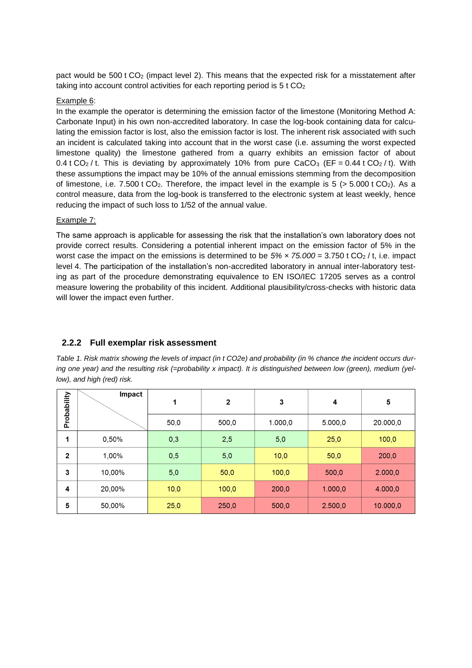pact would be  $500$  t  $CO<sub>2</sub>$  (impact level 2). This means that the expected risk for a misstatement after taking into account control activities for each reporting period is 5 t CO<sub>2</sub>

#### Example 6:

In the example the operator is determining the emission factor of the limestone (Monitoring Method A: Carbonate Input) in his own non-accredited laboratory. In case the log-book containing data for calculating the emission factor is lost, also the emission factor is lost. The inherent risk associated with such an incident is calculated taking into account that in the worst case (i.e. assuming the worst expected limestone quality) the limestone gathered from a quarry exhibits an emission factor of about 0.4 t CO<sub>2</sub>/t. This is deviating by approximately 10% from pure CaCO<sub>3</sub> (EF = 0.44 t CO<sub>2</sub>/t). With these assumptions the impact may be 10% of the annual emissions stemming from the decomposition of limestone, i.e. 7.500 t CO<sub>2</sub>. Therefore, the impact level in the example is 5 ( $> 5.000$  t CO<sub>2</sub>). As a control measure, data from the log-book is transferred to the electronic system at least weekly, hence reducing the impact of such loss to 1/52 of the annual value.

#### Example 7:

The same approach is applicable for assessing the risk that the installation's own laboratory does not provide correct results. Considering a potential inherent impact on the emission factor of 5% in the worst case the impact on the emissions is determined to be *5% × 75.000* = 3.750 t CO<sup>2</sup> / t, i.e. impact level 4. The participation of the installation's non-accredited laboratory in annual inter-laboratory testing as part of the procedure demonstrating equivalence to EN ISO/IEC 17205 serves as a control measure lowering the probability of this incident. Additional plausibility/cross-checks with historic data will lower the impact even further.

#### **2.2.2 Full exemplar risk assessment**

*Table 1. Risk matrix showing the levels of impact (in t CO2e) and probability (in % chance the incident occurs dur*ing one year) and the resulting risk (=probability x impact). It is distinguished between low (green), medium (yel*low), and high (red) risk.*

| Probability    | <b>Impact</b> | 1    | $\overline{2}$ | 3       | 4       | 5        |
|----------------|---------------|------|----------------|---------|---------|----------|
|                |               | 50,0 | 500,0          | 1.000,0 | 5.000,0 | 20.000,0 |
| 1              | 0,50%         | 0,3  | 2,5            | 5,0     | 25,0    | 100,0    |
| $\overline{2}$ | 1,00%         | 0,5  | 5,0            | 10,0    | 50,0    | 200,0    |
| 3              | 10,00%        | 5,0  | 50,0           | 100,0   | 500,0   | 2.000,0  |
| 4              | 20,00%        | 10,0 | 100,0          | 200,0   | 1.000,0 | 4.000,0  |
| 5              | 50,00%        | 25,0 | 250,0          | 500,0   | 2.500,0 | 10.000,0 |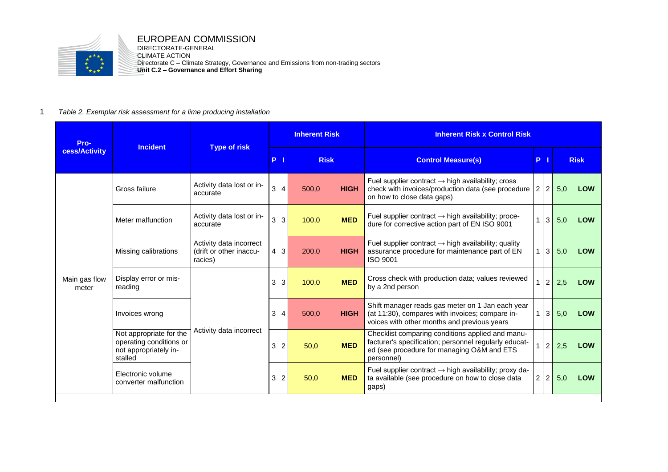

## EUROPEAN COMMISSION

DIRECTORATE-GENERAL CLIMATE ACTION Directorate C – Climate Strategy, Governance and Emissions from non-trading sectors **Unit C.2 – Governance and Effort Sharing**

#### 1 *Table 2. Exemplar risk assessment for a lime producing installation*

| Pro-                   | <b>Incident</b>                                                                        | <b>Type of risk</b>                                           | <b>Inherent Risk</b> |                |             |             | <b>Inherent Risk x Control Risk</b>                                                                                                                                   |                |                |     |             |
|------------------------|----------------------------------------------------------------------------------------|---------------------------------------------------------------|----------------------|----------------|-------------|-------------|-----------------------------------------------------------------------------------------------------------------------------------------------------------------------|----------------|----------------|-----|-------------|
| cess/Activity          |                                                                                        |                                                               | P                    |                | <b>Risk</b> |             | <b>Control Measure(s)</b>                                                                                                                                             | P.             |                |     | <b>Risk</b> |
|                        | Gross failure                                                                          | Activity data lost or in-<br>accurate                         | 3                    | $\overline{4}$ | 500.0       | <b>HIGH</b> | Fuel supplier contract $\rightarrow$ high availability; cross<br>check with invoices/production data (see procedure<br>on how to close data gaps)                     | $\overline{2}$ | $\overline{2}$ | 5,0 | <b>LOW</b>  |
| Main gas flow<br>meter | Meter malfunction                                                                      | Activity data lost or in-<br>accurate                         | 3                    | $\mathfrak{Z}$ | 100,0       | <b>MED</b>  | Fuel supplier contract $\rightarrow$ high availability; proce-<br>dure for corrective action part of EN ISO 9001                                                      |                | 3              | 5,0 | <b>LOW</b>  |
|                        | Missing calibrations                                                                   | Activity data incorrect<br>(drift or other inaccu-<br>racies) | 4                    | $\mathbf{3}$   | 200,0       | <b>HIGH</b> | Fuel supplier contract $\rightarrow$ high availability; quality<br>assurance procedure for maintenance part of EN<br>ISO 9001                                         | 1              | $\mathbf{3}$   | 5,0 | <b>LOW</b>  |
|                        | Display error or mis-<br>reading                                                       | Activity data incorrect                                       | 3                    | $\mathbf{3}$   | 100,0       | <b>MED</b>  | Cross check with production data; values reviewed<br>by a 2nd person                                                                                                  |                | $\overline{2}$ | 2,5 | <b>LOW</b>  |
|                        | Invoices wrong                                                                         |                                                               | 3                    | $\overline{4}$ | 500.0       | <b>HIGH</b> | Shift manager reads gas meter on 1 Jan each year<br>(at 11:30), compares with invoices; compare in-<br>voices with other months and previous years                    | $\mathbf{1}$   | $\mathbf{3}$   | 5,0 | <b>LOW</b>  |
|                        | Not appropriate for the<br>operating conditions or<br>not appropriately in-<br>stalled |                                                               | 3                    | $\overline{2}$ | 50,0        | <b>MED</b>  | Checklist comparing conditions applied and manu-<br>facturer's specification; personnel regularly educat-<br>ed (see procedure for managing O&M and ETS<br>personnel) |                | $2^{\circ}$    | 2,5 | <b>LOW</b>  |
|                        | Electronic volume<br>converter malfunction                                             |                                                               | 3                    | $\overline{c}$ | 50,0        | <b>MED</b>  | Fuel supplier contract $\rightarrow$ high availability; proxy da-<br>ta available (see procedure on how to close data<br>gaps)                                        | $\overline{a}$ | $\overline{2}$ | 5,0 | <b>LOW</b>  |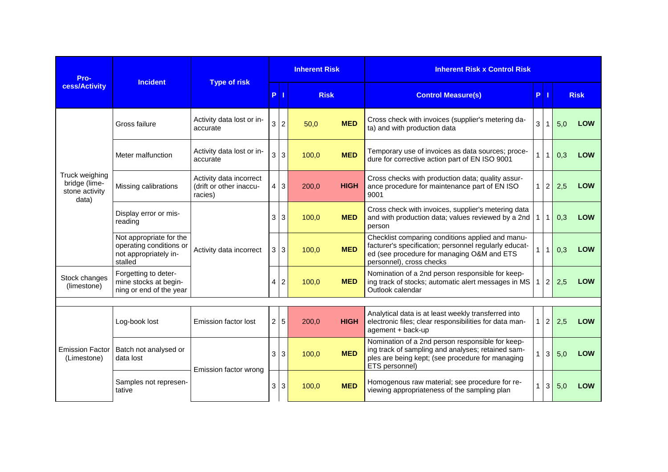| Pro-<br>cess/Activity                                      | <b>Incident</b>                                                                        | <b>Type of risk</b>                                           | <b>Inherent Risk</b> |                |             |             | <b>Inherent Risk x Control Risk</b>                                                                                                                                                 |                |                |             |            |
|------------------------------------------------------------|----------------------------------------------------------------------------------------|---------------------------------------------------------------|----------------------|----------------|-------------|-------------|-------------------------------------------------------------------------------------------------------------------------------------------------------------------------------------|----------------|----------------|-------------|------------|
|                                                            |                                                                                        |                                                               | P.                   | П              | <b>Risk</b> |             | <b>Control Measure(s)</b>                                                                                                                                                           | P <sub>1</sub> |                | <b>Risk</b> |            |
|                                                            | Gross failure                                                                          | Activity data lost or in-<br>accurate                         | 3                    | $\overline{2}$ | 50,0        | <b>MED</b>  | Cross check with invoices (supplier's metering da-<br>ta) and with production data                                                                                                  | 3              | $\mathbf{1}$   | 5,0         | LOW        |
|                                                            | Meter malfunction                                                                      | Activity data lost or in-<br>accurate                         | 3                    | $\mathbf{3}$   | 100,0       | <b>MED</b>  | Temporary use of invoices as data sources; proce-<br>dure for corrective action part of EN ISO 9001                                                                                 |                | $\mathbf{1}$   | 0,3         | LOW        |
| Truck weighing<br>bridge (lime-<br>stone activity<br>data) | Missing calibrations                                                                   | Activity data incorrect<br>(drift or other inaccu-<br>racies) | 4                    | 3              | 200,0       | <b>HIGH</b> | Cross checks with production data; quality assur-<br>ance procedure for maintenance part of EN ISO<br>9001                                                                          |                | $\overline{2}$ | 2,5         | <b>LOW</b> |
|                                                            | Display error or mis-<br>reading                                                       | Activity data incorrect                                       | 3                    | $\mathbf{3}$   | 100,0       | <b>MED</b>  | Cross check with invoices, supplier's metering data<br>and with production data; values reviewed by a 2nd<br>person                                                                 |                | $\mathbf{1}$   | 0,3         | <b>LOW</b> |
|                                                            | Not appropriate for the<br>operating conditions or<br>not appropriately in-<br>stalled |                                                               | 3                    | $\mathbf{3}$   | 100,0       | <b>MED</b>  | Checklist comparing conditions applied and manu-<br>facturer's specification; personnel regularly educat-<br>ed (see procedure for managing O&M and ETS<br>personnel), cross checks | $\mathbf{1}$   | $\mathbf{1}$   | 0,3         | LOW        |
| Stock changes<br>(limestone)                               | Forgetting to deter-<br>mine stocks at begin-<br>ning or end of the year               |                                                               |                      | $\overline{c}$ | 100,0       | <b>MED</b>  | Nomination of a 2nd person responsible for keep-<br>ing track of stocks; automatic alert messages in MS<br>Outlook calendar                                                         | $\mathbf{1}$   | $\overline{2}$ | 2,5         | <b>LOW</b> |
|                                                            |                                                                                        |                                                               |                      |                |             |             |                                                                                                                                                                                     |                |                |             |            |
|                                                            | Log-book lost                                                                          | Emission factor lost                                          | $\overline{2}$       | $\,$ 5 $\,$    | 200,0       | <b>HIGH</b> | Analytical data is at least weekly transferred into<br>electronic files; clear responsibilities for data man-<br>agement + back-up                                                  | $\mathbf{1}$   | $\overline{2}$ | 2,5         | LOW        |
| <b>Emission Factor</b><br>(Limestone)                      | Batch not analysed or<br>data lost                                                     | Emission factor wrong                                         | 3                    | $\mathsf 3$    | 100,0       | <b>MED</b>  | Nomination of a 2nd person responsible for keep-<br>ing track of sampling and analyses; retained sam-<br>ples are being kept; (see procedure for managing<br>ETS personnel)         |                | 3              | 5,0         | <b>LOW</b> |
|                                                            | Samples not represen-<br>tative                                                        |                                                               | 3                    | $\mathbf{3}$   | 100,0       | <b>MED</b>  | Homogenous raw material; see procedure for re-<br>viewing appropriateness of the sampling plan                                                                                      |                | 3              | 5,0         | LOW        |